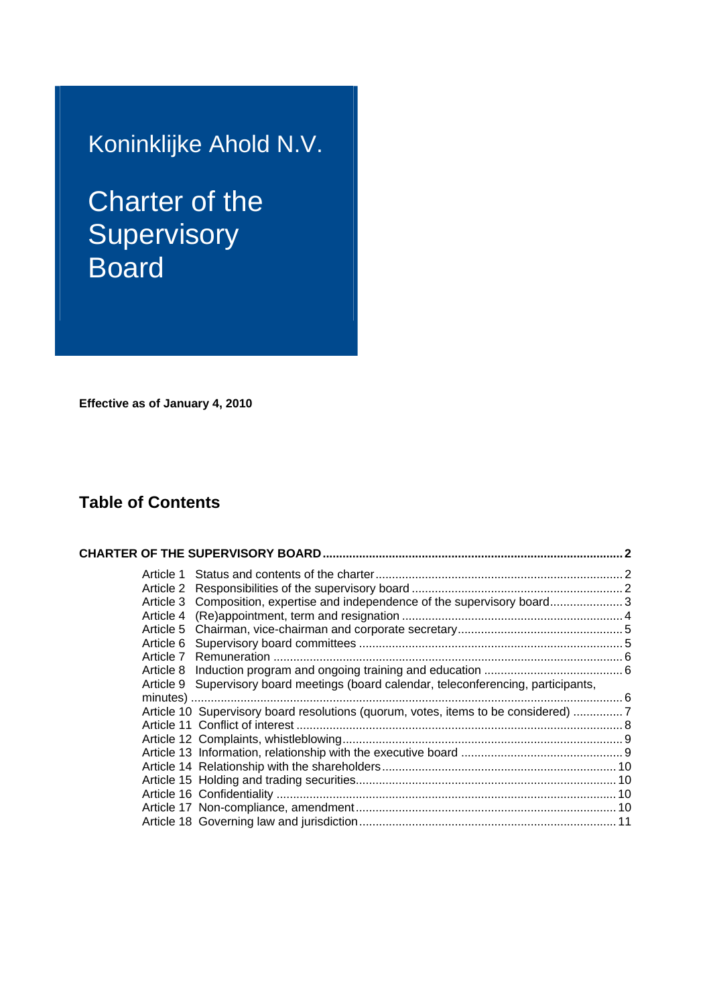# Koninklijke Ahold N.V.

# Charter of the **Supervisory Board**

**Effective as of January 4, 2010** 

# **Table of Contents**

| Article 3 Composition, expertise and independence of the supervisory board 3          |  |
|---------------------------------------------------------------------------------------|--|
|                                                                                       |  |
|                                                                                       |  |
|                                                                                       |  |
|                                                                                       |  |
|                                                                                       |  |
| Article 9 Supervisory board meetings (board calendar, teleconferencing, participants, |  |
|                                                                                       |  |
| Article 10 Supervisory board resolutions (quorum, votes, items to be considered) 7    |  |
|                                                                                       |  |
|                                                                                       |  |
|                                                                                       |  |
|                                                                                       |  |
|                                                                                       |  |
|                                                                                       |  |
|                                                                                       |  |
|                                                                                       |  |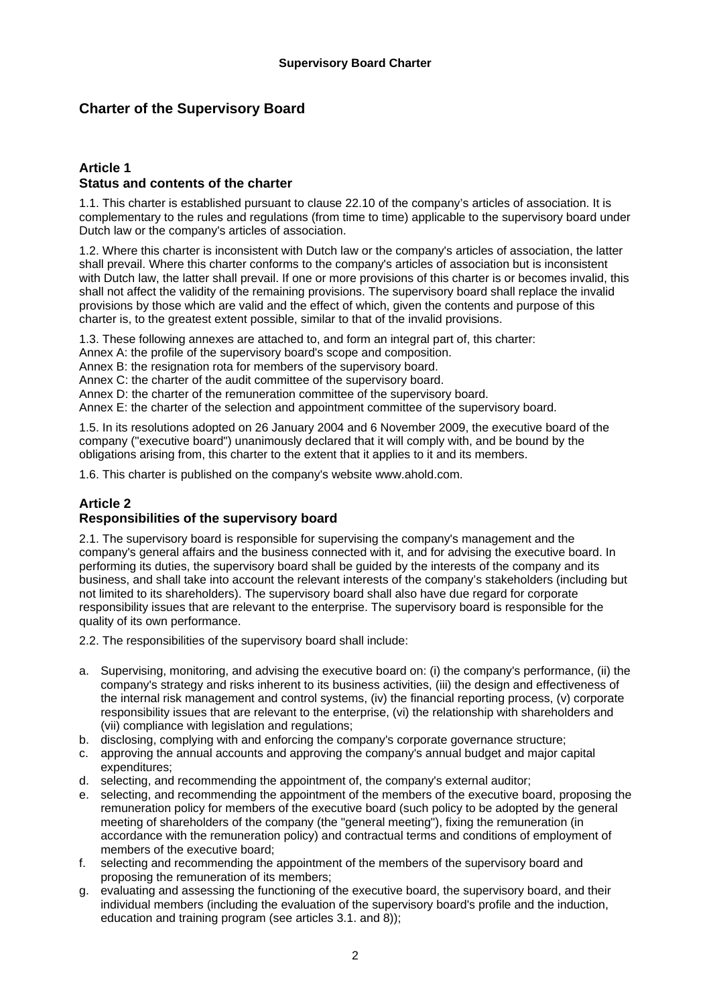# **Charter of the Supervisory Board**

# **Article 1 Status and contents of the charter**

1.1. This charter is established pursuant to clause 22.10 of the company's articles of association. It is complementary to the rules and regulations (from time to time) applicable to the supervisory board under Dutch law or the company's articles of association.

1.2. Where this charter is inconsistent with Dutch law or the company's articles of association, the latter shall prevail. Where this charter conforms to the company's articles of association but is inconsistent with Dutch law, the latter shall prevail. If one or more provisions of this charter is or becomes invalid, this shall not affect the validity of the remaining provisions. The supervisory board shall replace the invalid provisions by those which are valid and the effect of which, given the contents and purpose of this charter is, to the greatest extent possible, similar to that of the invalid provisions.

1.3. These following annexes are attached to, and form an integral part of, this charter:

Annex A: the profile of the supervisory board's scope and composition.

Annex B: the resignation rota for members of the supervisory board.

Annex C: the charter of the audit committee of the supervisory board.

Annex D: the charter of the remuneration committee of the supervisory board.

Annex E: the charter of the selection and appointment committee of the supervisory board.

1.5. In its resolutions adopted on 26 January 2004 and 6 November 2009, the executive board of the company ("executive board") unanimously declared that it will comply with, and be bound by the obligations arising from, this charter to the extent that it applies to it and its members.

1.6. This charter is published on the company's website www.ahold.com.

# **Article 2**

# **Responsibilities of the supervisory board**

2.1. The supervisory board is responsible for supervising the company's management and the company's general affairs and the business connected with it, and for advising the executive board. In performing its duties, the supervisory board shall be guided by the interests of the company and its business, and shall take into account the relevant interests of the company's stakeholders (including but not limited to its shareholders). The supervisory board shall also have due regard for corporate responsibility issues that are relevant to the enterprise. The supervisory board is responsible for the quality of its own performance.

2.2. The responsibilities of the supervisory board shall include:

- a. Supervising, monitoring, and advising the executive board on: (i) the company's performance, (ii) the company's strategy and risks inherent to its business activities, (iii) the design and effectiveness of the internal risk management and control systems, (iv) the financial reporting process, (v) corporate responsibility issues that are relevant to the enterprise, (vi) the relationship with shareholders and (vii) compliance with legislation and regulations;
- b. disclosing, complying with and enforcing the company's corporate governance structure;
- c. approving the annual accounts and approving the company's annual budget and major capital expenditures;
- d. selecting, and recommending the appointment of, the company's external auditor;
- e. selecting, and recommending the appointment of the members of the executive board, proposing the remuneration policy for members of the executive board (such policy to be adopted by the general meeting of shareholders of the company (the "general meeting"), fixing the remuneration (in accordance with the remuneration policy) and contractual terms and conditions of employment of members of the executive board;
- f. selecting and recommending the appointment of the members of the supervisory board and proposing the remuneration of its members;
- g. evaluating and assessing the functioning of the executive board, the supervisory board, and their individual members (including the evaluation of the supervisory board's profile and the induction, education and training program (see articles 3.1. and 8));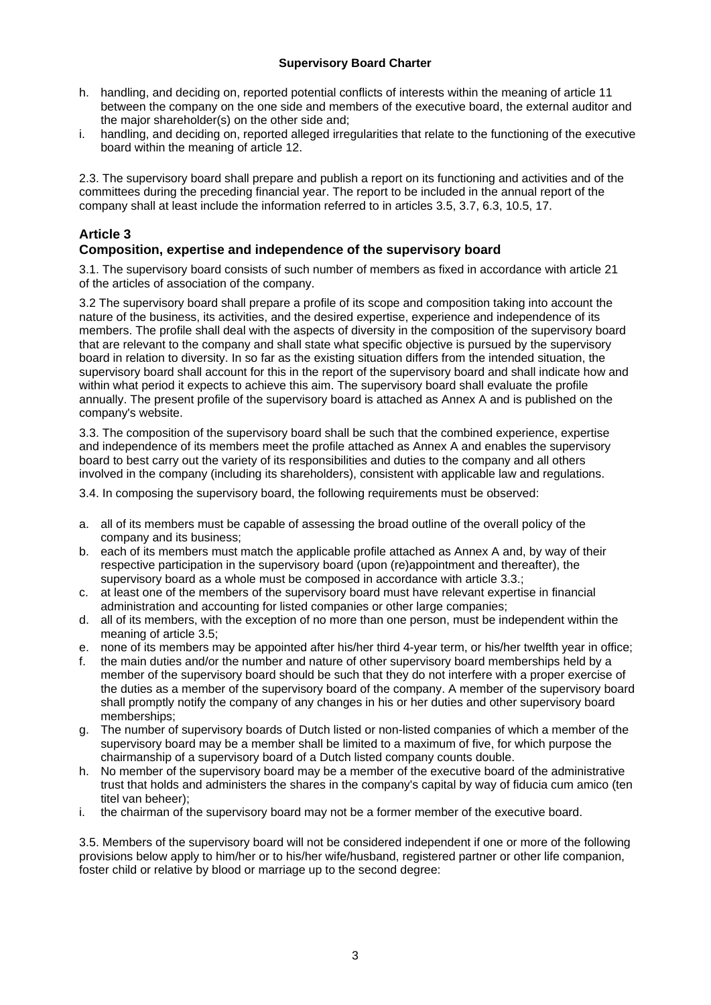- h. handling, and deciding on, reported potential conflicts of interests within the meaning of article 11 between the company on the one side and members of the executive board, the external auditor and the major shareholder(s) on the other side and;
- i. handling, and deciding on, reported alleged irregularities that relate to the functioning of the executive board within the meaning of article 12.

2.3. The supervisory board shall prepare and publish a report on its functioning and activities and of the committees during the preceding financial year. The report to be included in the annual report of the company shall at least include the information referred to in articles 3.5, 3.7, 6.3, 10.5, 17.

# **Article 3**

# **Composition, expertise and independence of the supervisory board**

3.1. The supervisory board consists of such number of members as fixed in accordance with article 21 of the articles of association of the company.

3.2 The supervisory board shall prepare a profile of its scope and composition taking into account the nature of the business, its activities, and the desired expertise, experience and independence of its members. The profile shall deal with the aspects of diversity in the composition of the supervisory board that are relevant to the company and shall state what specific objective is pursued by the supervisory board in relation to diversity. In so far as the existing situation differs from the intended situation, the supervisory board shall account for this in the report of the supervisory board and shall indicate how and within what period it expects to achieve this aim. The supervisory board shall evaluate the profile annually. The present profile of the supervisory board is attached as Annex A and is published on the company's website.

3.3. The composition of the supervisory board shall be such that the combined experience, expertise and independence of its members meet the profile attached as Annex A and enables the supervisory board to best carry out the variety of its responsibilities and duties to the company and all others involved in the company (including its shareholders), consistent with applicable law and regulations.

3.4. In composing the supervisory board, the following requirements must be observed:

- a. all of its members must be capable of assessing the broad outline of the overall policy of the company and its business;
- b. each of its members must match the applicable profile attached as Annex A and, by way of their respective participation in the supervisory board (upon (re)appointment and thereafter), the supervisory board as a whole must be composed in accordance with article 3.3.;
- c. at least one of the members of the supervisory board must have relevant expertise in financial administration and accounting for listed companies or other large companies;
- d. all of its members, with the exception of no more than one person, must be independent within the meaning of article 3.5;
- e. none of its members may be appointed after his/her third 4-year term, or his/her twelfth year in office;
- f. the main duties and/or the number and nature of other supervisory board memberships held by a member of the supervisory board should be such that they do not interfere with a proper exercise of the duties as a member of the supervisory board of the company. A member of the supervisory board shall promptly notify the company of any changes in his or her duties and other supervisory board memberships;
- g. The number of supervisory boards of Dutch listed or non-listed companies of which a member of the supervisory board may be a member shall be limited to a maximum of five, for which purpose the chairmanship of a supervisory board of a Dutch listed company counts double.
- h. No member of the supervisory board may be a member of the executive board of the administrative trust that holds and administers the shares in the company's capital by way of fiducia cum amico (ten titel van beheer);
- i. the chairman of the supervisory board may not be a former member of the executive board.

3.5. Members of the supervisory board will not be considered independent if one or more of the following provisions below apply to him/her or to his/her wife/husband, registered partner or other life companion, foster child or relative by blood or marriage up to the second degree: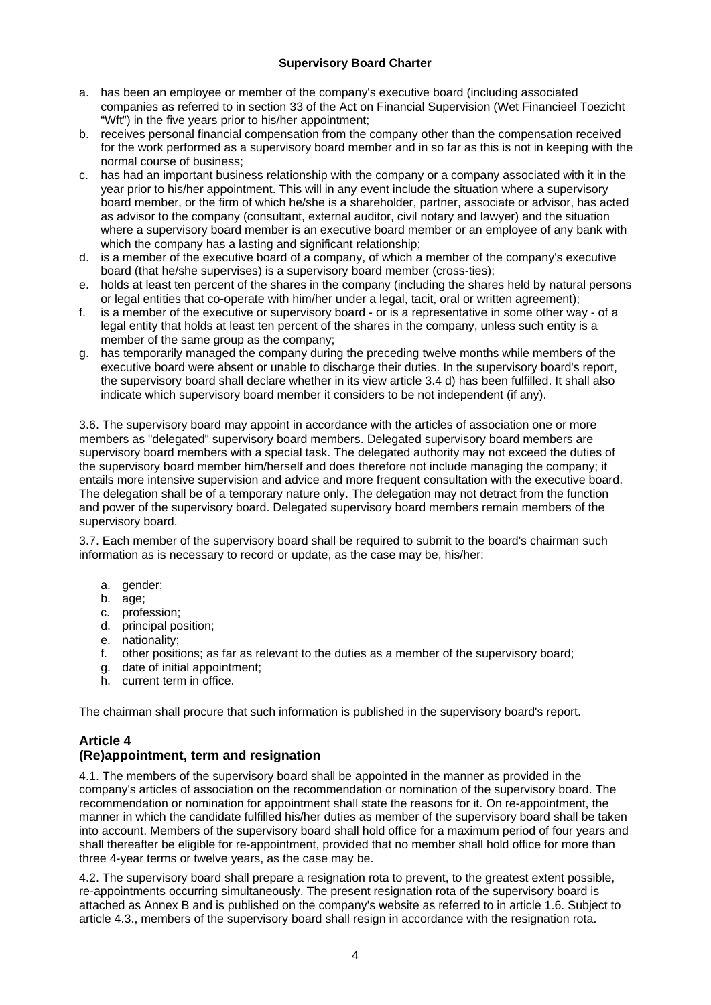- a. has been an employee or member of the company's executive board (including associated companies as referred to in section 33 of the Act on Financial Supervision (Wet Financieel Toezicht "Wft") in the five years prior to his/her appointment;
- b. receives personal financial compensation from the company other than the compensation received for the work performed as a supervisory board member and in so far as this is not in keeping with the normal course of business;
- c. has had an important business relationship with the company or a company associated with it in the year prior to his/her appointment. This will in any event include the situation where a supervisory board member, or the firm of which he/she is a shareholder, partner, associate or advisor, has acted as advisor to the company (consultant, external auditor, civil notary and lawyer) and the situation where a supervisory board member is an executive board member or an employee of any bank with which the company has a lasting and significant relationship;
- d. is a member of the executive board of a company, of which a member of the company's executive board (that he/she supervises) is a supervisory board member (cross-ties);
- e. holds at least ten percent of the shares in the company (including the shares held by natural persons or legal entities that co-operate with him/her under a legal, tacit, oral or written agreement);
- f. is a member of the executive or supervisory board or is a representative in some other way of a legal entity that holds at least ten percent of the shares in the company, unless such entity is a member of the same group as the company;
- g. has temporarily managed the company during the preceding twelve months while members of the executive board were absent or unable to discharge their duties. In the supervisory board's report, the supervisory board shall declare whether in its view article 3.4 d) has been fulfilled. It shall also indicate which supervisory board member it considers to be not independent (if any).

3.6. The supervisory board may appoint in accordance with the articles of association one or more members as "delegated" supervisory board members. Delegated supervisory board members are supervisory board members with a special task. The delegated authority may not exceed the duties of the supervisory board member him/herself and does therefore not include managing the company; it entails more intensive supervision and advice and more frequent consultation with the executive board. The delegation shall be of a temporary nature only. The delegation may not detract from the function and power of the supervisory board. Delegated supervisory board members remain members of the supervisory board.

3.7. Each member of the supervisory board shall be required to submit to the board's chairman such information as is necessary to record or update, as the case may be, his/her:

- a. gender:
- b. age;
- c. profession;
- d. principal position;
- e. nationality;
- f. other positions; as far as relevant to the duties as a member of the supervisory board;
- g. date of initial appointment;
- h. current term in office.

The chairman shall procure that such information is published in the supervisory board's report.

# **Article 4**

# **(Re)appointment, term and resignation**

4.1. The members of the supervisory board shall be appointed in the manner as provided in the company's articles of association on the recommendation or nomination of the supervisory board. The recommendation or nomination for appointment shall state the reasons for it. On re-appointment, the manner in which the candidate fulfilled his/her duties as member of the supervisory board shall be taken into account. Members of the supervisory board shall hold office for a maximum period of four years and shall thereafter be eligible for re-appointment, provided that no member shall hold office for more than three 4-year terms or twelve years, as the case may be.

4.2. The supervisory board shall prepare a resignation rota to prevent, to the greatest extent possible, re-appointments occurring simultaneously. The present resignation rota of the supervisory board is attached as Annex B and is published on the company's website as referred to in article 1.6. Subject to article 4.3., members of the supervisory board shall resign in accordance with the resignation rota.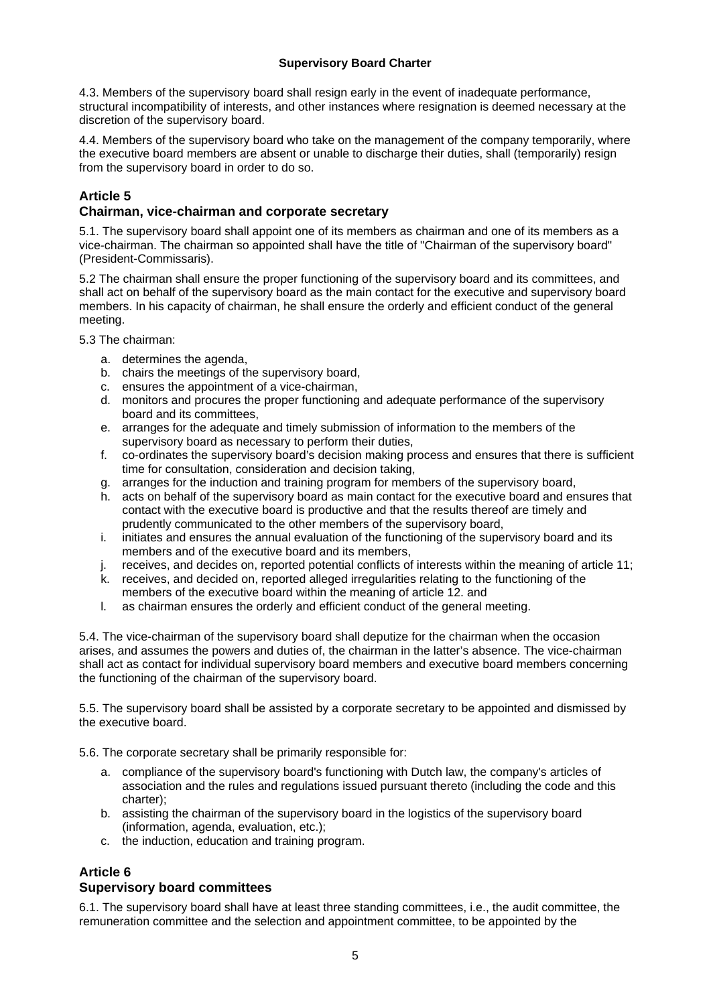4.3. Members of the supervisory board shall resign early in the event of inadequate performance, structural incompatibility of interests, and other instances where resignation is deemed necessary at the discretion of the supervisory board.

4.4. Members of the supervisory board who take on the management of the company temporarily, where the executive board members are absent or unable to discharge their duties, shall (temporarily) resign from the supervisory board in order to do so.

# **Article 5**

# **Chairman, vice-chairman and corporate secretary**

5.1. The supervisory board shall appoint one of its members as chairman and one of its members as a vice-chairman. The chairman so appointed shall have the title of "Chairman of the supervisory board" (President-Commissaris).

5.2 The chairman shall ensure the proper functioning of the supervisory board and its committees, and shall act on behalf of the supervisory board as the main contact for the executive and supervisory board members. In his capacity of chairman, he shall ensure the orderly and efficient conduct of the general meeting.

5.3 The chairman:

- a. determines the agenda,
- b. chairs the meetings of the supervisory board,
- c. ensures the appointment of a vice-chairman,
- d. monitors and procures the proper functioning and adequate performance of the supervisory board and its committees,
- e. arranges for the adequate and timely submission of information to the members of the supervisory board as necessary to perform their duties,
- f. co-ordinates the supervisory board's decision making process and ensures that there is sufficient time for consultation, consideration and decision taking,
- g. arranges for the induction and training program for members of the supervisory board,
- h. acts on behalf of the supervisory board as main contact for the executive board and ensures that contact with the executive board is productive and that the results thereof are timely and prudently communicated to the other members of the supervisory board,
- i. initiates and ensures the annual evaluation of the functioning of the supervisory board and its members and of the executive board and its members,
- j. receives, and decides on, reported potential conflicts of interests within the meaning of article 11;
- k. receives, and decided on, reported alleged irregularities relating to the functioning of the members of the executive board within the meaning of article 12. and
- l. as chairman ensures the orderly and efficient conduct of the general meeting.

5.4. The vice-chairman of the supervisory board shall deputize for the chairman when the occasion arises, and assumes the powers and duties of, the chairman in the latter's absence. The vice-chairman shall act as contact for individual supervisory board members and executive board members concerning the functioning of the chairman of the supervisory board.

5.5. The supervisory board shall be assisted by a corporate secretary to be appointed and dismissed by the executive board.

5.6. The corporate secretary shall be primarily responsible for:

- a. compliance of the supervisory board's functioning with Dutch law, the company's articles of association and the rules and regulations issued pursuant thereto (including the code and this charter);
- b. assisting the chairman of the supervisory board in the logistics of the supervisory board (information, agenda, evaluation, etc.);
- c. the induction, education and training program.

# **Article 6**

# **Supervisory board committees**

6.1. The supervisory board shall have at least three standing committees, i.e., the audit committee, the remuneration committee and the selection and appointment committee, to be appointed by the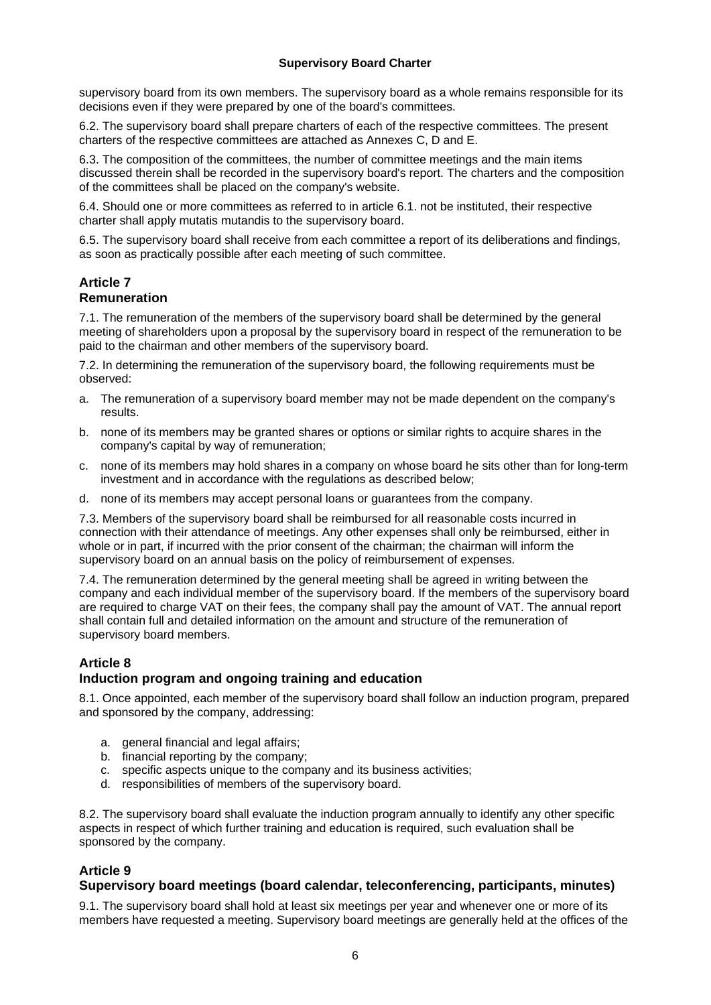supervisory board from its own members. The supervisory board as a whole remains responsible for its decisions even if they were prepared by one of the board's committees.

6.2. The supervisory board shall prepare charters of each of the respective committees. The present charters of the respective committees are attached as Annexes C, D and E.

6.3. The composition of the committees, the number of committee meetings and the main items discussed therein shall be recorded in the supervisory board's report. The charters and the composition of the committees shall be placed on the company's website.

6.4. Should one or more committees as referred to in article 6.1. not be instituted, their respective charter shall apply mutatis mutandis to the supervisory board.

6.5. The supervisory board shall receive from each committee a report of its deliberations and findings, as soon as practically possible after each meeting of such committee.

# **Article 7**

# **Remuneration**

7.1. The remuneration of the members of the supervisory board shall be determined by the general meeting of shareholders upon a proposal by the supervisory board in respect of the remuneration to be paid to the chairman and other members of the supervisory board.

7.2. In determining the remuneration of the supervisory board, the following requirements must be observed:

- a. The remuneration of a supervisory board member may not be made dependent on the company's results.
- b. none of its members may be granted shares or options or similar rights to acquire shares in the company's capital by way of remuneration;
- c. none of its members may hold shares in a company on whose board he sits other than for long-term investment and in accordance with the regulations as described below;
- d. none of its members may accept personal loans or guarantees from the company.

7.3. Members of the supervisory board shall be reimbursed for all reasonable costs incurred in connection with their attendance of meetings. Any other expenses shall only be reimbursed, either in whole or in part, if incurred with the prior consent of the chairman; the chairman will inform the supervisory board on an annual basis on the policy of reimbursement of expenses.

7.4. The remuneration determined by the general meeting shall be agreed in writing between the company and each individual member of the supervisory board. If the members of the supervisory board are required to charge VAT on their fees, the company shall pay the amount of VAT. The annual report shall contain full and detailed information on the amount and structure of the remuneration of supervisory board members.

# **Article 8**

# **Induction program and ongoing training and education**

8.1. Once appointed, each member of the supervisory board shall follow an induction program, prepared and sponsored by the company, addressing:

- a. general financial and legal affairs;
- b. financial reporting by the company;
- c. specific aspects unique to the company and its business activities;
- d. responsibilities of members of the supervisory board.

8.2. The supervisory board shall evaluate the induction program annually to identify any other specific aspects in respect of which further training and education is required, such evaluation shall be sponsored by the company.

# **Article 9**

# **Supervisory board meetings (board calendar, teleconferencing, participants, minutes)**

9.1. The supervisory board shall hold at least six meetings per year and whenever one or more of its members have requested a meeting. Supervisory board meetings are generally held at the offices of the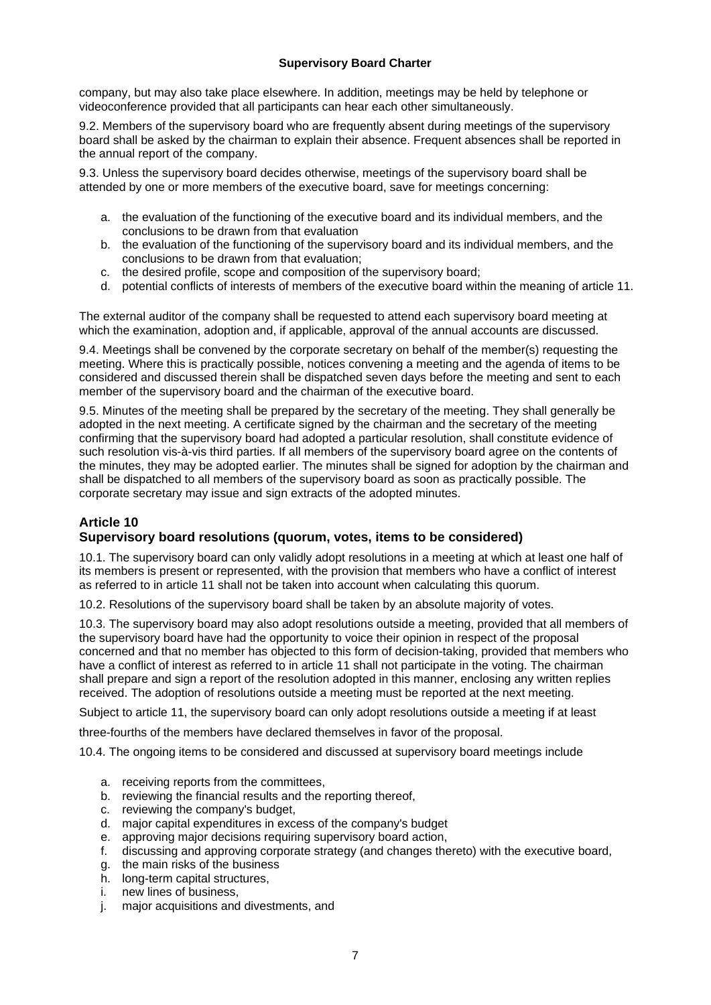company, but may also take place elsewhere. In addition, meetings may be held by telephone or videoconference provided that all participants can hear each other simultaneously.

9.2. Members of the supervisory board who are frequently absent during meetings of the supervisory board shall be asked by the chairman to explain their absence. Frequent absences shall be reported in the annual report of the company.

9.3. Unless the supervisory board decides otherwise, meetings of the supervisory board shall be attended by one or more members of the executive board, save for meetings concerning:

- a. the evaluation of the functioning of the executive board and its individual members, and the conclusions to be drawn from that evaluation
- b. the evaluation of the functioning of the supervisory board and its individual members, and the conclusions to be drawn from that evaluation;
- c. the desired profile, scope and composition of the supervisory board;
- d. potential conflicts of interests of members of the executive board within the meaning of article 11.

The external auditor of the company shall be requested to attend each supervisory board meeting at which the examination, adoption and, if applicable, approval of the annual accounts are discussed.

9.4. Meetings shall be convened by the corporate secretary on behalf of the member(s) requesting the meeting. Where this is practically possible, notices convening a meeting and the agenda of items to be considered and discussed therein shall be dispatched seven days before the meeting and sent to each member of the supervisory board and the chairman of the executive board.

9.5. Minutes of the meeting shall be prepared by the secretary of the meeting. They shall generally be adopted in the next meeting. A certificate signed by the chairman and the secretary of the meeting confirming that the supervisory board had adopted a particular resolution, shall constitute evidence of such resolution vis-à-vis third parties. If all members of the supervisory board agree on the contents of the minutes, they may be adopted earlier. The minutes shall be signed for adoption by the chairman and shall be dispatched to all members of the supervisory board as soon as practically possible. The corporate secretary may issue and sign extracts of the adopted minutes.

# **Article 10**

# **Supervisory board resolutions (quorum, votes, items to be considered)**

10.1. The supervisory board can only validly adopt resolutions in a meeting at which at least one half of its members is present or represented, with the provision that members who have a conflict of interest as referred to in article 11 shall not be taken into account when calculating this quorum.

10.2. Resolutions of the supervisory board shall be taken by an absolute majority of votes.

10.3. The supervisory board may also adopt resolutions outside a meeting, provided that all members of the supervisory board have had the opportunity to voice their opinion in respect of the proposal concerned and that no member has objected to this form of decision-taking, provided that members who have a conflict of interest as referred to in article 11 shall not participate in the voting. The chairman shall prepare and sign a report of the resolution adopted in this manner, enclosing any written replies received. The adoption of resolutions outside a meeting must be reported at the next meeting.

Subject to article 11, the supervisory board can only adopt resolutions outside a meeting if at least

three-fourths of the members have declared themselves in favor of the proposal.

10.4. The ongoing items to be considered and discussed at supervisory board meetings include

- a. receiving reports from the committees,
- b. reviewing the financial results and the reporting thereof,
- c. reviewing the company's budget,
- d. major capital expenditures in excess of the company's budget
- e. approving major decisions requiring supervisory board action,
- f. discussing and approving corporate strategy (and changes thereto) with the executive board,
- g. the main risks of the business
- h. long-term capital structures,
- i. new lines of business,
- j. major acquisitions and divestments, and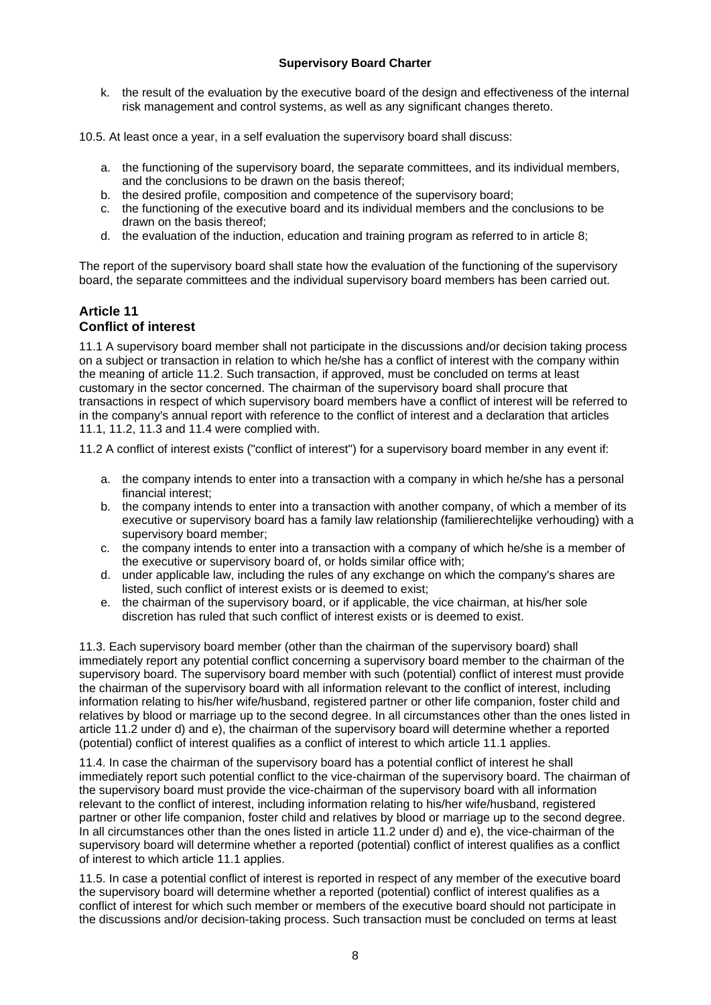k. the result of the evaluation by the executive board of the design and effectiveness of the internal risk management and control systems, as well as any significant changes thereto.

10.5. At least once a year, in a self evaluation the supervisory board shall discuss:

- a. the functioning of the supervisory board, the separate committees, and its individual members, and the conclusions to be drawn on the basis thereof;
- b. the desired profile, composition and competence of the supervisory board;
- c. the functioning of the executive board and its individual members and the conclusions to be drawn on the basis thereof;
- d. the evaluation of the induction, education and training program as referred to in article 8;

The report of the supervisory board shall state how the evaluation of the functioning of the supervisory board, the separate committees and the individual supervisory board members has been carried out.

#### **Article 11 Conflict of interest**

11.1 A supervisory board member shall not participate in the discussions and/or decision taking process on a subject or transaction in relation to which he/she has a conflict of interest with the company within the meaning of article 11.2. Such transaction, if approved, must be concluded on terms at least customary in the sector concerned. The chairman of the supervisory board shall procure that transactions in respect of which supervisory board members have a conflict of interest will be referred to in the company's annual report with reference to the conflict of interest and a declaration that articles 11.1, 11.2, 11.3 and 11.4 were complied with.

11.2 A conflict of interest exists ("conflict of interest") for a supervisory board member in any event if:

- a. the company intends to enter into a transaction with a company in which he/she has a personal financial interest;
- b. the company intends to enter into a transaction with another company, of which a member of its executive or supervisory board has a family law relationship (familierechtelijke verhouding) with a supervisory board member;
- c. the company intends to enter into a transaction with a company of which he/she is a member of the executive or supervisory board of, or holds similar office with;
- d. under applicable law, including the rules of any exchange on which the company's shares are listed, such conflict of interest exists or is deemed to exist;
- e. the chairman of the supervisory board, or if applicable, the vice chairman, at his/her sole discretion has ruled that such conflict of interest exists or is deemed to exist.

11.3. Each supervisory board member (other than the chairman of the supervisory board) shall immediately report any potential conflict concerning a supervisory board member to the chairman of the supervisory board. The supervisory board member with such (potential) conflict of interest must provide the chairman of the supervisory board with all information relevant to the conflict of interest, including information relating to his/her wife/husband, registered partner or other life companion, foster child and relatives by blood or marriage up to the second degree. In all circumstances other than the ones listed in article 11.2 under d) and e), the chairman of the supervisory board will determine whether a reported (potential) conflict of interest qualifies as a conflict of interest to which article 11.1 applies.

11.4. In case the chairman of the supervisory board has a potential conflict of interest he shall immediately report such potential conflict to the vice-chairman of the supervisory board. The chairman of the supervisory board must provide the vice-chairman of the supervisory board with all information relevant to the conflict of interest, including information relating to his/her wife/husband, registered partner or other life companion, foster child and relatives by blood or marriage up to the second degree. In all circumstances other than the ones listed in article 11.2 under d) and e), the vice-chairman of the supervisory board will determine whether a reported (potential) conflict of interest qualifies as a conflict of interest to which article 11.1 applies.

11.5. In case a potential conflict of interest is reported in respect of any member of the executive board the supervisory board will determine whether a reported (potential) conflict of interest qualifies as a conflict of interest for which such member or members of the executive board should not participate in the discussions and/or decision-taking process. Such transaction must be concluded on terms at least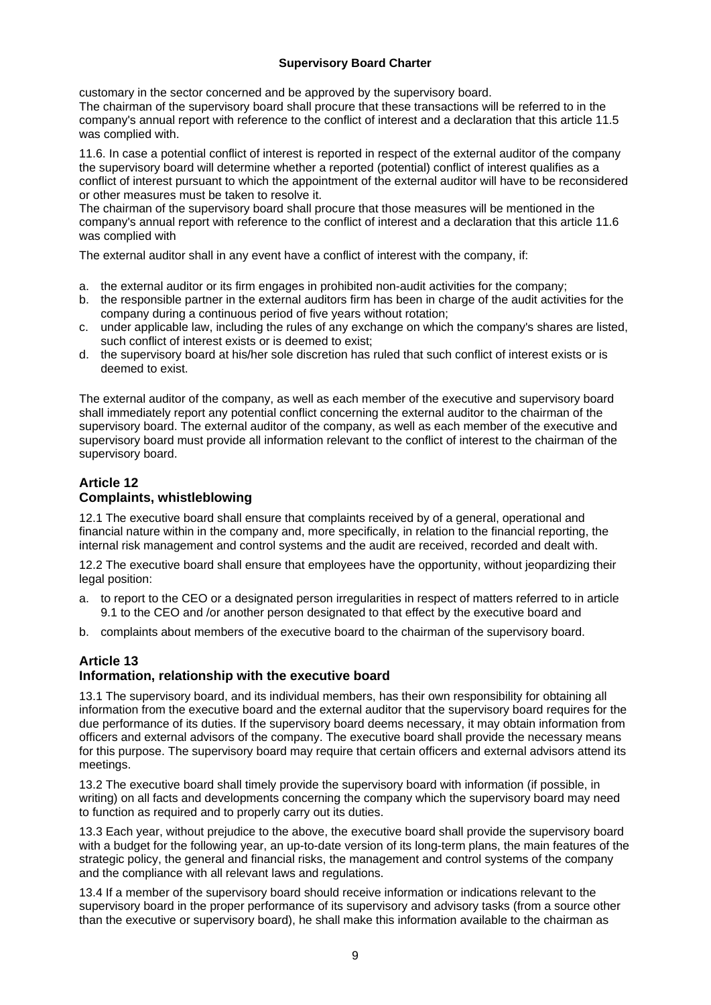customary in the sector concerned and be approved by the supervisory board.

The chairman of the supervisory board shall procure that these transactions will be referred to in the company's annual report with reference to the conflict of interest and a declaration that this article 11.5 was complied with.

11.6. In case a potential conflict of interest is reported in respect of the external auditor of the company the supervisory board will determine whether a reported (potential) conflict of interest qualifies as a conflict of interest pursuant to which the appointment of the external auditor will have to be reconsidered or other measures must be taken to resolve it.

The chairman of the supervisory board shall procure that those measures will be mentioned in the company's annual report with reference to the conflict of interest and a declaration that this article 11.6 was complied with

The external auditor shall in any event have a conflict of interest with the company, if:

- a. the external auditor or its firm engages in prohibited non-audit activities for the company;
- b. the responsible partner in the external auditors firm has been in charge of the audit activities for the company during a continuous period of five years without rotation;
- c. under applicable law, including the rules of any exchange on which the company's shares are listed, such conflict of interest exists or is deemed to exist;
- d. the supervisory board at his/her sole discretion has ruled that such conflict of interest exists or is deemed to exist.

The external auditor of the company, as well as each member of the executive and supervisory board shall immediately report any potential conflict concerning the external auditor to the chairman of the supervisory board. The external auditor of the company, as well as each member of the executive and supervisory board must provide all information relevant to the conflict of interest to the chairman of the supervisory board.

# **Article 12 Complaints, whistleblowing**

12.1 The executive board shall ensure that complaints received by of a general, operational and financial nature within in the company and, more specifically, in relation to the financial reporting, the internal risk management and control systems and the audit are received, recorded and dealt with.

12.2 The executive board shall ensure that employees have the opportunity, without jeopardizing their legal position:

- a. to report to the CEO or a designated person irregularities in respect of matters referred to in article 9.1 to the CEO and /or another person designated to that effect by the executive board and
- b. complaints about members of the executive board to the chairman of the supervisory board.

#### **Article 13 Information, relationship with the executive board**

13.1 The supervisory board, and its individual members, has their own responsibility for obtaining all information from the executive board and the external auditor that the supervisory board requires for the due performance of its duties. If the supervisory board deems necessary, it may obtain information from officers and external advisors of the company. The executive board shall provide the necessary means for this purpose. The supervisory board may require that certain officers and external advisors attend its meetings.

13.2 The executive board shall timely provide the supervisory board with information (if possible, in writing) on all facts and developments concerning the company which the supervisory board may need to function as required and to properly carry out its duties.

13.3 Each year, without prejudice to the above, the executive board shall provide the supervisory board with a budget for the following year, an up-to-date version of its long-term plans, the main features of the strategic policy, the general and financial risks, the management and control systems of the company and the compliance with all relevant laws and regulations.

13.4 If a member of the supervisory board should receive information or indications relevant to the supervisory board in the proper performance of its supervisory and advisory tasks (from a source other than the executive or supervisory board), he shall make this information available to the chairman as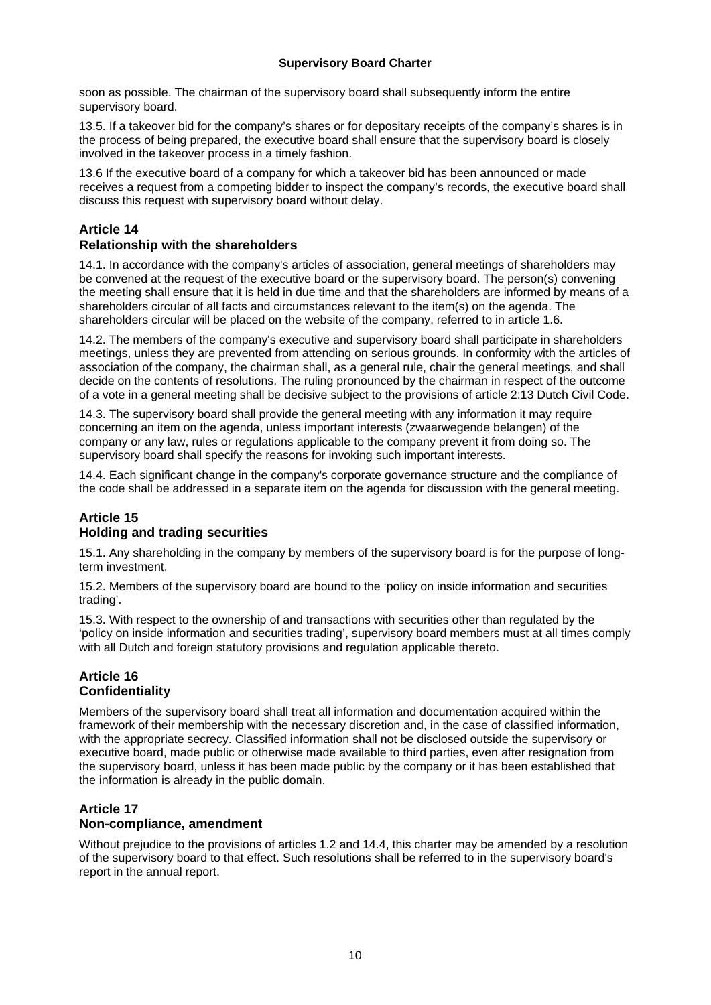soon as possible. The chairman of the supervisory board shall subsequently inform the entire supervisory board.

13.5. If a takeover bid for the company's shares or for depositary receipts of the company's shares is in the process of being prepared, the executive board shall ensure that the supervisory board is closely involved in the takeover process in a timely fashion.

13.6 If the executive board of a company for which a takeover bid has been announced or made receives a request from a competing bidder to inspect the company's records, the executive board shall discuss this request with supervisory board without delay.

# **Article 14**

# **Relationship with the shareholders**

14.1. In accordance with the company's articles of association, general meetings of shareholders may be convened at the request of the executive board or the supervisory board. The person(s) convening the meeting shall ensure that it is held in due time and that the shareholders are informed by means of a shareholders circular of all facts and circumstances relevant to the item(s) on the agenda. The shareholders circular will be placed on the website of the company, referred to in article 1.6.

14.2. The members of the company's executive and supervisory board shall participate in shareholders meetings, unless they are prevented from attending on serious grounds. In conformity with the articles of association of the company, the chairman shall, as a general rule, chair the general meetings, and shall decide on the contents of resolutions. The ruling pronounced by the chairman in respect of the outcome of a vote in a general meeting shall be decisive subject to the provisions of article 2:13 Dutch Civil Code.

14.3. The supervisory board shall provide the general meeting with any information it may require concerning an item on the agenda, unless important interests (zwaarwegende belangen) of the company or any law, rules or regulations applicable to the company prevent it from doing so. The supervisory board shall specify the reasons for invoking such important interests.

14.4. Each significant change in the company's corporate governance structure and the compliance of the code shall be addressed in a separate item on the agenda for discussion with the general meeting.

# **Article 15 Holding and trading securities**

15.1. Any shareholding in the company by members of the supervisory board is for the purpose of longterm investment.

15.2. Members of the supervisory board are bound to the 'policy on inside information and securities trading'.

15.3. With respect to the ownership of and transactions with securities other than regulated by the 'policy on inside information and securities trading', supervisory board members must at all times comply with all Dutch and foreign statutory provisions and regulation applicable thereto.

# **Article 16 Confidentiality**

Members of the supervisory board shall treat all information and documentation acquired within the framework of their membership with the necessary discretion and, in the case of classified information, with the appropriate secrecy. Classified information shall not be disclosed outside the supervisory or executive board, made public or otherwise made available to third parties, even after resignation from the supervisory board, unless it has been made public by the company or it has been established that the information is already in the public domain.

# **Article 17**

# **Non-compliance, amendment**

Without prejudice to the provisions of articles 1.2 and 14.4, this charter may be amended by a resolution of the supervisory board to that effect. Such resolutions shall be referred to in the supervisory board's report in the annual report.